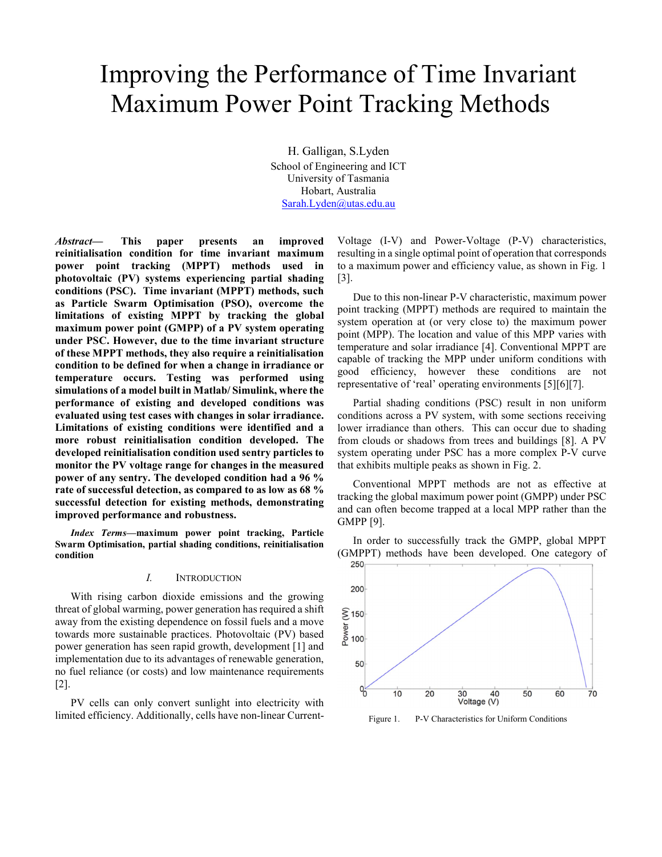# Improving the Performance of Time Invariant Maximum Power Point Tracking Methods

H. Galligan, S.Lyden School of Engineering and ICT University of Tasmania Hobart, Australia Sarah.Lyden@utas.edu.au

*Abstract***— This paper presents an improved reinitialisation condition for time invariant maximum power point tracking (MPPT) methods used in photovoltaic (PV) systems experiencing partial shading conditions (PSC). Time invariant (MPPT) methods, such as Particle Swarm Optimisation (PSO), overcome the limitations of existing MPPT by tracking the global maximum power point (GMPP) of a PV system operating under PSC. However, due to the time invariant structure of these MPPT methods, they also require a reinitialisation condition to be defined for when a change in irradiance or temperature occurs. Testing was performed using simulations of a model built in Matlab/ Simulink, where the performance of existing and developed conditions was evaluated using test cases with changes in solar irradiance. Limitations of existing conditions were identified and a more robust reinitialisation condition developed. The developed reinitialisation condition used sentry particles to monitor the PV voltage range for changes in the measured power of any sentry. The developed condition had a 96 % rate of successful detection, as compared to as low as 68 % successful detection for existing methods, demonstrating improved performance and robustness.**

*Index Terms***—maximum power point tracking, Particle Swarm Optimisation, partial shading conditions, reinitialisation condition** 

## *I.* INTRODUCTION

With rising carbon dioxide emissions and the growing threat of global warming, power generation has required a shift away from the existing dependence on fossil fuels and a move towards more sustainable practices. Photovoltaic (PV) based power generation has seen rapid growth, development [1] and implementation due to its advantages of renewable generation, no fuel reliance (or costs) and low maintenance requirements [2].

PV cells can only convert sunlight into electricity with limited efficiency. Additionally, cells have non-linear Current-

Voltage (I-V) and Power-Voltage (P-V) characteristics, resulting in a single optimal point of operation that corresponds to a maximum power and efficiency value, as shown in Fig. 1 [3].

Due to this non-linear P-V characteristic, maximum power point tracking (MPPT) methods are required to maintain the system operation at (or very close to) the maximum power point (MPP). The location and value of this MPP varies with temperature and solar irradiance [4]. Conventional MPPT are capable of tracking the MPP under uniform conditions with good efficiency, however these conditions are not representative of 'real' operating environments [5][6][7].

Partial shading conditions (PSC) result in non uniform conditions across a PV system, with some sections receiving lower irradiance than others. This can occur due to shading from clouds or shadows from trees and buildings [8]. A PV system operating under PSC has a more complex P-V curve that exhibits multiple peaks as shown in Fig. 2.

Conventional MPPT methods are not as effective at tracking the global maximum power point (GMPP) under PSC and can often become trapped at a local MPP rather than the GMPP [9].

In order to successfully track the GMPP, global MPPT (GMPPT) methods have been developed. One category of



Figure 1. P-V Characteristics for Uniform Conditions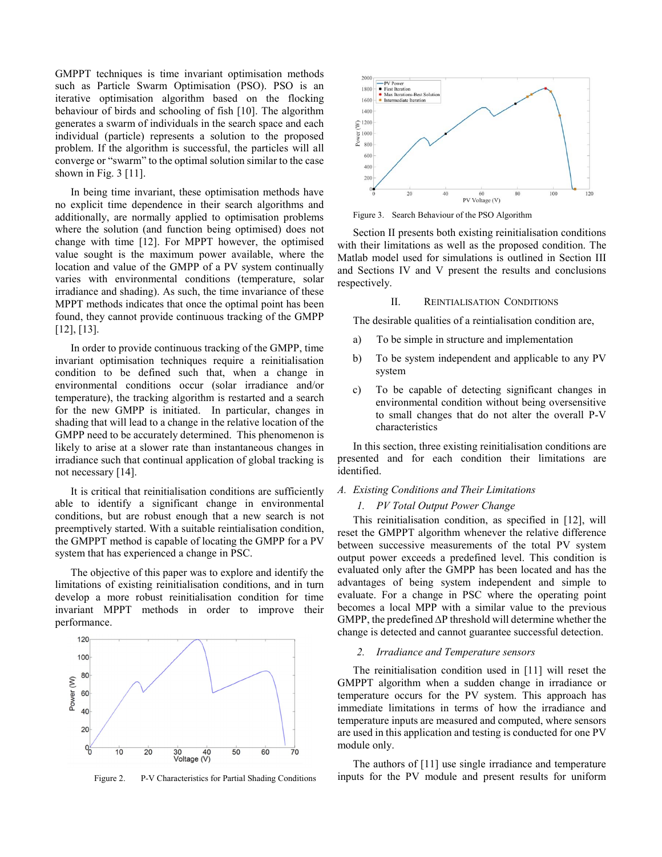GMPPT techniques is time invariant optimisation methods such as Particle Swarm Optimisation (PSO). PSO is an iterative optimisation algorithm based on the flocking behaviour of birds and schooling of fish [10]. The algorithm generates a swarm of individuals in the search space and each individual (particle) represents a solution to the proposed problem. If the algorithm is successful, the particles will all converge or "swarm" to the optimal solution similar to the case shown in Fig.  $3$  [11].

In being time invariant, these optimisation methods have no explicit time dependence in their search algorithms and additionally, are normally applied to optimisation problems where the solution (and function being optimised) does not change with time [12]. For MPPT however, the optimised value sought is the maximum power available, where the location and value of the GMPP of a PV system continually varies with environmental conditions (temperature, solar irradiance and shading). As such, the time invariance of these MPPT methods indicates that once the optimal point has been found, they cannot provide continuous tracking of the GMPP [12], [13].

In order to provide continuous tracking of the GMPP, time invariant optimisation techniques require a reinitialisation condition to be defined such that, when a change in environmental conditions occur (solar irradiance and/or temperature), the tracking algorithm is restarted and a search for the new GMPP is initiated. In particular, changes in shading that will lead to a change in the relative location of the GMPP need to be accurately determined. This phenomenon is likely to arise at a slower rate than instantaneous changes in irradiance such that continual application of global tracking is not necessary [14].

It is critical that reinitialisation conditions are sufficiently able to identify a significant change in environmental conditions, but are robust enough that a new search is not preemptively started. With a suitable reintialisation condition, the GMPPT method is capable of locating the GMPP for a PV system that has experienced a change in PSC.

The objective of this paper was to explore and identify the limitations of existing reinitialisation conditions, and in turn develop a more robust reinitialisation condition for time invariant MPPT methods in order to improve their performance.



Figure 2. P-V Characteristics for Partial Shading Conditions



Figure 3. Search Behaviour of the PSO Algorithm

Section II presents both existing reinitialisation conditions with their limitations as well as the proposed condition. The Matlab model used for simulations is outlined in Section III and Sections IV and V present the results and conclusions respectively.

#### II. REINTIALISATION CONDITIONS

The desirable qualities of a reintialisation condition are,

- a) To be simple in structure and implementation
- b) To be system independent and applicable to any PV system
- c) To be capable of detecting significant changes in environmental condition without being oversensitive to small changes that do not alter the overall P-V characteristics

In this section, three existing reinitialisation conditions are presented and for each condition their limitations are identified.

#### *A. Existing Conditions and Their Limitations*

#### *1. PV Total Output Power Change*

This reinitialisation condition, as specified in [12], will reset the GMPPT algorithm whenever the relative difference between successive measurements of the total PV system output power exceeds a predefined level. This condition is evaluated only after the GMPP has been located and has the advantages of being system independent and simple to evaluate. For a change in PSC where the operating point becomes a local MPP with a similar value to the previous GMPP, the predefined ∆P threshold will determine whether the change is detected and cannot guarantee successful detection.

#### *2. Irradiance and Temperature sensors*

The reinitialisation condition used in [11] will reset the GMPPT algorithm when a sudden change in irradiance or temperature occurs for the PV system. This approach has immediate limitations in terms of how the irradiance and temperature inputs are measured and computed, where sensors are used in this application and testing is conducted for one PV module only.

The authors of [11] use single irradiance and temperature inputs for the PV module and present results for uniform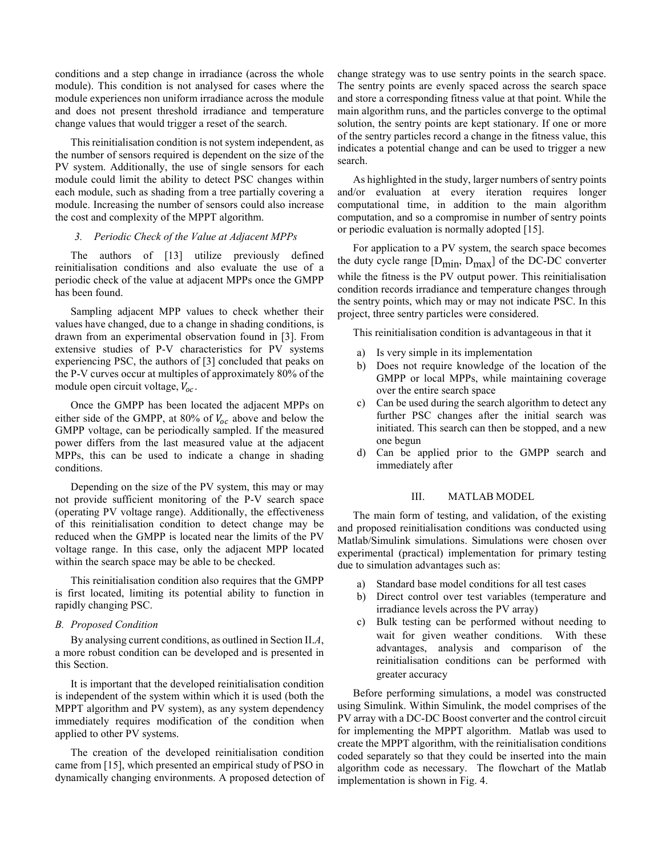conditions and a step change in irradiance (across the whole module). This condition is not analysed for cases where the module experiences non uniform irradiance across the module and does not present threshold irradiance and temperature change values that would trigger a reset of the search.

This reinitialisation condition is not system independent, as the number of sensors required is dependent on the size of the PV system. Additionally, the use of single sensors for each module could limit the ability to detect PSC changes within each module, such as shading from a tree partially covering a module. Increasing the number of sensors could also increase the cost and complexity of the MPPT algorithm.

#### *3. Periodic Check of the Value at Adjacent MPPs*

The authors of [13] utilize previously defined reinitialisation conditions and also evaluate the use of a periodic check of the value at adjacent MPPs once the GMPP has been found.

Sampling adjacent MPP values to check whether their values have changed, due to a change in shading conditions, is drawn from an experimental observation found in [3]. From extensive studies of P-V characteristics for PV systems experiencing PSC, the authors of [3] concluded that peaks on the P-V curves occur at multiples of approximately 80% of the module open circuit voltage,  $V_{oc}$ .

Once the GMPP has been located the adjacent MPPs on either side of the GMPP, at 80% of  $V_{oc}$  above and below the GMPP voltage, can be periodically sampled. If the measured power differs from the last measured value at the adjacent MPPs, this can be used to indicate a change in shading conditions.

Depending on the size of the PV system, this may or may not provide sufficient monitoring of the P-V search space (operating PV voltage range). Additionally, the effectiveness of this reinitialisation condition to detect change may be reduced when the GMPP is located near the limits of the PV voltage range. In this case, only the adjacent MPP located within the search space may be able to be checked.

This reinitialisation condition also requires that the GMPP is first located, limiting its potential ability to function in rapidly changing PSC.

#### *B. Proposed Condition*

By analysing current conditions, as outlined in Section II.*A*, a more robust condition can be developed and is presented in this Section.

It is important that the developed reinitialisation condition is independent of the system within which it is used (both the MPPT algorithm and PV system), as any system dependency immediately requires modification of the condition when applied to other PV systems.

The creation of the developed reinitialisation condition came from [15], which presented an empirical study of PSO in dynamically changing environments. A proposed detection of change strategy was to use sentry points in the search space. The sentry points are evenly spaced across the search space and store a corresponding fitness value at that point. While the main algorithm runs, and the particles converge to the optimal solution, the sentry points are kept stationary. If one or more of the sentry particles record a change in the fitness value, this indicates a potential change and can be used to trigger a new search.

As highlighted in the study, larger numbers of sentry points and/or evaluation at every iteration requires longer computational time, in addition to the main algorithm computation, and so a compromise in number of sentry points or periodic evaluation is normally adopted [15].

For application to a PV system, the search space becomes the duty cycle range  $[D_{\text{min}}$ ,  $D_{\text{max}}]$  of the DC-DC converter while the fitness is the PV output power. This reinitialisation condition records irradiance and temperature changes through the sentry points, which may or may not indicate PSC. In this project, three sentry particles were considered.

This reinitialisation condition is advantageous in that it

- a) Is very simple in its implementation
- b) Does not require knowledge of the location of the GMPP or local MPPs, while maintaining coverage over the entire search space
- c) Can be used during the search algorithm to detect any further PSC changes after the initial search was initiated. This search can then be stopped, and a new one begun
- d) Can be applied prior to the GMPP search and immediately after

#### III. MATLAB MODEL

The main form of testing, and validation, of the existing and proposed reinitialisation conditions was conducted using Matlab/Simulink simulations. Simulations were chosen over experimental (practical) implementation for primary testing due to simulation advantages such as:

- a) Standard base model conditions for all test cases
- b) Direct control over test variables (temperature and irradiance levels across the PV array)
- c) Bulk testing can be performed without needing to wait for given weather conditions. With these advantages, analysis and comparison of the reinitialisation conditions can be performed with greater accuracy

Before performing simulations, a model was constructed using Simulink. Within Simulink, the model comprises of the PV array with a DC-DC Boost converter and the control circuit for implementing the MPPT algorithm. Matlab was used to create the MPPT algorithm, with the reinitialisation conditions coded separately so that they could be inserted into the main algorithm code as necessary. The flowchart of the Matlab implementation is shown in Fig. 4.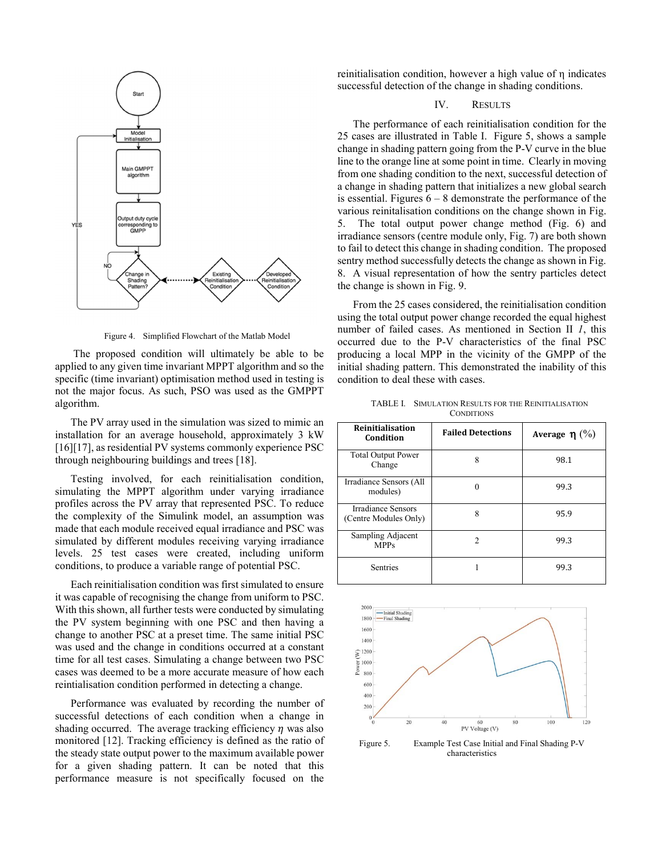

Figure 4. Simplified Flowchart of the Matlab Model

 The proposed condition will ultimately be able to be applied to any given time invariant MPPT algorithm and so the specific (time invariant) optimisation method used in testing is not the major focus. As such, PSO was used as the GMPPT algorithm.

The PV array used in the simulation was sized to mimic an installation for an average household, approximately 3 kW [16][17], as residential PV systems commonly experience PSC through neighbouring buildings and trees [18].

Testing involved, for each reinitialisation condition, simulating the MPPT algorithm under varying irradiance profiles across the PV array that represented PSC. To reduce the complexity of the Simulink model, an assumption was made that each module received equal irradiance and PSC was simulated by different modules receiving varying irradiance levels. 25 test cases were created, including uniform conditions, to produce a variable range of potential PSC.

Each reinitialisation condition was first simulated to ensure it was capable of recognising the change from uniform to PSC. With this shown, all further tests were conducted by simulating the PV system beginning with one PSC and then having a change to another PSC at a preset time. The same initial PSC was used and the change in conditions occurred at a constant time for all test cases. Simulating a change between two PSC cases was deemed to be a more accurate measure of how each reintialisation condition performed in detecting a change.

Performance was evaluated by recording the number of successful detections of each condition when a change in shading occurred. The average tracking efficiency  $n$  was also monitored [12]. Tracking efficiency is defined as the ratio of the steady state output power to the maximum available power for a given shading pattern. It can be noted that this performance measure is not specifically focused on the

reinitialisation condition, however a high value of η indicates successful detection of the change in shading conditions.

### IV. RESULTS

The performance of each reinitialisation condition for the 25 cases are illustrated in Table I. Figure 5, shows a sample change in shading pattern going from the P-V curve in the blue line to the orange line at some point in time. Clearly in moving from one shading condition to the next, successful detection of a change in shading pattern that initializes a new global search is essential. Figures  $6 - 8$  demonstrate the performance of the various reinitalisation conditions on the change shown in Fig. 5. The total output power change method (Fig. 6) and irradiance sensors (centre module only, Fig. 7) are both shown to fail to detect this change in shading condition. The proposed sentry method successfully detects the change as shown in Fig. 8. A visual representation of how the sentry particles detect the change is shown in Fig. 9.

From the 25 cases considered, the reinitialisation condition using the total output power change recorded the equal highest number of failed cases. As mentioned in Section II *1*, this occurred due to the P-V characteristics of the final PSC producing a local MPP in the vicinity of the GMPP of the initial shading pattern. This demonstrated the inability of this condition to deal these with cases.

TABLE I. SIMULATION RESULTS FOR THE REINITIALISATION **CONDITIONS** 

| Reinitialisation<br>Condition               | <b>Failed Detections</b> | Average $\eta$ (%) |
|---------------------------------------------|--------------------------|--------------------|
| <b>Total Output Power</b><br>Change         | 8                        | 98.1               |
| Irradiance Sensors (All<br>modules)         |                          | 99.3               |
| Irradiance Sensors<br>(Centre Modules Only) | 8                        | 95.9               |
| Sampling Adjacent<br><b>MPPs</b>            | $\mathcal{D}$            | 99.3               |
| Sentries                                    |                          | 99.3               |



Figure 5. Example Test Case Initial and Final Shading P-V characteristics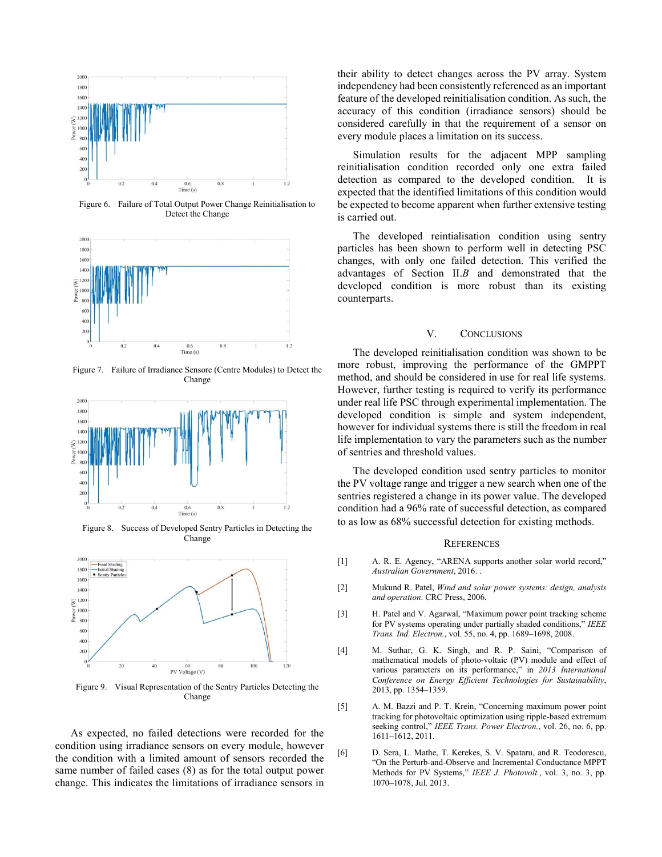

Figure 6. Failure of Total Output Power Change Reinitialisation to Detect the Change



Figure 7. Failure of Irradiance Sensore (Centre Modules) to Detect the Change



Figure 8. Success of Developed Sentry Particles in Detecting the Change



Figure 9. Visual Representation of the Sentry Particles Detecting the Change

As expected, no failed detections were recorded for the condition using irradiance sensors on every module, however the condition with a limited amount of sensors recorded the same number of failed cases (8) as for the total output power change. This indicates the limitations of irradiance sensors in their ability to detect changes across the PV array. System independency had been consistently referenced as an important feature of the developed reinitialisation condition. As such, the accuracy of this condition (irradiance sensors) should be considered carefully in that the requirement of a sensor on every module places a limitation on its success.

Simulation results for the adjacent MPP sampling reinitialisation condition recorded only one extra failed detection as compared to the developed condition. It is expected that the identified limitations of this condition would be expected to become apparent when further extensive testing is carried out.

The developed reintialisation condition using sentry particles has been shown to perform well in detecting PSC changes, with only one failed detection. This verified the advantages of Section II.*B* and demonstrated that the developed condition is more robust than its existing counterparts.

## V. CONCLUSIONS

The developed reinitialisation condition was shown to be more robust, improving the performance of the GMPPT method, and should be considered in use for real life systems. However, further testing is required to verify its performance under real life PSC through experimental implementation. The developed condition is simple and system independent, however for individual systems there is still the freedom in real life implementation to vary the parameters such as the number of sentries and threshold values.

The developed condition used sentry particles to monitor the PV voltage range and trigger a new search when one of the sentries registered a change in its power value. The developed condition had a 96% rate of successful detection, as compared to as low as 68% successful detection for existing methods.

#### **REFERENCES**

- [1] A. R. E. Agency, "ARENA supports another solar world record," *Australian Government*, 2016. .
- [2] Mukund R. Patel, *Wind and solar power systems: design, analysis and operation*. CRC Press, 2006.
- [3] H. Patel and V. Agarwal, "Maximum power point tracking scheme for PV systems operating under partially shaded conditions," *IEEE Trans. Ind. Electron.*, vol. 55, no. 4, pp. 1689–1698, 2008.
- [4] M. Suthar, G. K. Singh, and R. P. Saini, "Comparison of mathematical models of photo-voltaic (PV) module and effect of various parameters on its performance," in *2013 International Conference on Energy Efficient Technologies for Sustainability*, 2013, pp. 1354–1359.
- [5] A. M. Bazzi and P. T. Krein, "Concerning maximum power point tracking for photovoltaic optimization using ripple-based extremum seeking control," *IEEE Trans. Power Electron.*, vol. 26, no. 6, pp. 1611–1612, 2011.
- [6] D. Sera, L. Mathe, T. Kerekes, S. V. Spataru, and R. Teodorescu, "On the Perturb-and-Observe and Incremental Conductance MPPT Methods for PV Systems," *IEEE J. Photovolt.*, vol. 3, no. 3, pp. 1070–1078, Jul. 2013.